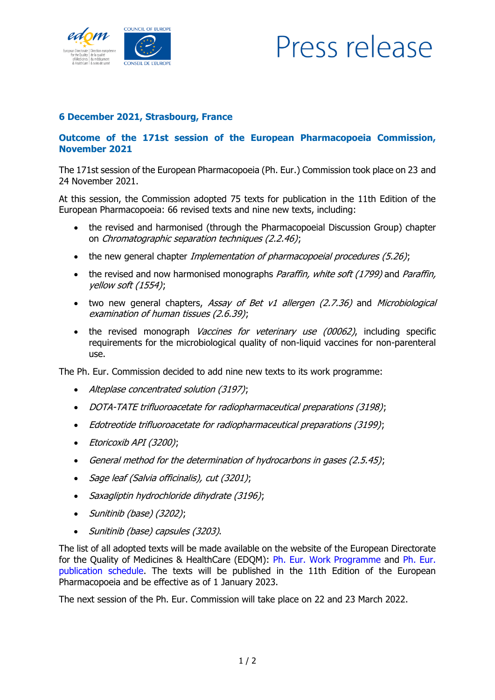

## Press release

## **6 December 2021, Strasbourg, France**

## **Outcome of the 171st session of the European Pharmacopoeia Commission, November 2021**

The 171st session of the European Pharmacopoeia (Ph. Eur.) Commission took place on 23 and 24 November 2021.

At this session, the Commission adopted 75 texts for publication in the 11th Edition of the European Pharmacopoeia: 66 revised texts and nine new texts, including:

- the revised and harmonised (through the Pharmacopoeial Discussion Group) chapter on Chromatographic separation techniques (2.2.46);
- the new general chapter *Implementation of pharmacopoeial procedures (5.26)*;
- the revised and now harmonised monographs Paraffin, white soft (1799) and Paraffin, yellow soft (1554);
- two new general chapters, Assay of Bet v1 allergen (2.7.36) and Microbiological examination of human tissues (2.6.39);
- the revised monograph Vaccines for veterinary use (00062), including specific requirements for the microbiological quality of non-liquid vaccines for non-parenteral use.

The Ph. Eur. Commission decided to add nine new texts to its work programme:

- Alteplase concentrated solution (3197);
- DOTA-TATE trifluoroacetate for radiopharmaceutical preparations (3198);
- Edotreotide trifluoroacetate for radiopharmaceutical preparations (3199);
- Etoricoxib API (3200);
- General method for the determination of hydrocarbons in gases (2.5.45);
- Sage leaf (Salvia officinalis), cut (3201);
- Saxagliptin hydrochloride dihydrate (3196);
- Sunitinib (base) (3202);
- Sunitinib (base) capsules (3203).

The list of all adopted texts will be made available on the website of the European Directorate for the Quality of Medicines & HealthCare (EDQM): [Ph. Eur. Work Programme](https://www.edqm.eu/en/european-pharmacopoeia-work-programme-607.html) and [Ph. Eur.](https://www.edqm.eu/sites/default/files/ph._eur._10th_edition_publication_schedule_0.pdf)  [publication schedule.](https://www.edqm.eu/sites/default/files/ph._eur._10th_edition_publication_schedule_0.pdf) The texts will be published in the 11th Edition of the European Pharmacopoeia and be effective as of 1 January 2023.

The next session of the Ph. Eur. Commission will take place on 22 and 23 March 2022.